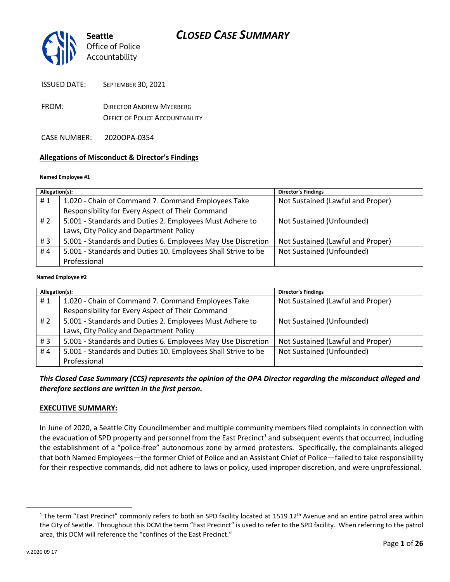

|  | <b>ISSUED DATE:</b> | <b>SEPTEMBER 30, 2021</b> |
|--|---------------------|---------------------------|
|--|---------------------|---------------------------|

- FROM: DIRECTOR ANDREW MYERBERG OFFICE OF POLICE ACCOUNTABILITY
- CASE NUMBER: 2020OPA-0354

#### **Allegations of Misconduct & Director's Findings**

#### **Named Employee #1**

| Allegation(s): |                                                               | Director's Findings               |
|----------------|---------------------------------------------------------------|-----------------------------------|
| #1             | 1.020 - Chain of Command 7. Command Employees Take            | Not Sustained (Lawful and Proper) |
|                | Responsibility for Every Aspect of Their Command              |                                   |
| #2             | 5.001 - Standards and Duties 2. Employees Must Adhere to      | Not Sustained (Unfounded)         |
|                | Laws, City Policy and Department Policy                       |                                   |
| #3             | 5.001 - Standards and Duties 6. Employees May Use Discretion  | Not Sustained (Lawful and Proper) |
| #4             | 5.001 - Standards and Duties 10. Employees Shall Strive to be | Not Sustained (Unfounded)         |
|                | Professional                                                  |                                   |
|                |                                                               |                                   |

#### **Named Employee #2**

| Allegation(s): |                                                               | Director's Findings               |
|----------------|---------------------------------------------------------------|-----------------------------------|
| #1             | 1.020 - Chain of Command 7. Command Employees Take            | Not Sustained (Lawful and Proper) |
|                | Responsibility for Every Aspect of Their Command              |                                   |
| # $2$          | 5.001 - Standards and Duties 2. Employees Must Adhere to      | Not Sustained (Unfounded)         |
|                | Laws, City Policy and Department Policy                       |                                   |
| #3             | 5.001 - Standards and Duties 6. Employees May Use Discretion  | Not Sustained (Lawful and Proper) |
| #4             | 5.001 - Standards and Duties 10. Employees Shall Strive to be | Not Sustained (Unfounded)         |
|                | Professional                                                  |                                   |

*This Closed Case Summary (CCS) represents the opinion of the OPA Director regarding the misconduct alleged and therefore sections are written in the first person.* 

#### **EXECUTIVE SUMMARY:**

In June of 2020, a Seattle City Councilmember and multiple community members filed complaints in connection with the evacuation of SPD property and personnel from the East Precinct<sup>1</sup> and subsequent events that occurred, including the establishment of a "police-free" autonomous zone by armed protesters. Specifically, the complainants alleged that both Named Employees—the former Chief of Police and an Assistant Chief of Police—failed to take responsibility for their respective commands, did not adhere to laws or policy, used improper discretion, and were unprofessional.

<sup>&</sup>lt;sup>1</sup> The term "East Precinct" commonly refers to both an SPD facility located at 1519 12<sup>th</sup> Avenue and an entire patrol area within the City of Seattle. Throughout this DCM the term "East Precinct" is used to refer to the SPD facility. When referring to the patrol area, this DCM will reference the "confines of the East Precinct."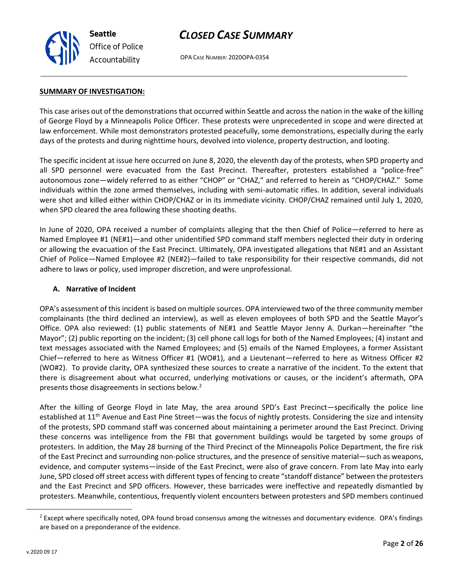

OPA CASE NUMBER: 2020OPA-0354

#### **SUMMARY OF INVESTIGATION:**

This case arises out of the demonstrations that occurred within Seattle and across the nation in the wake of the killing of George Floyd by a Minneapolis Police Officer. These protests were unprecedented in scope and were directed at law enforcement. While most demonstrators protested peacefully, some demonstrations, especially during the early days of the protests and during nighttime hours, devolved into violence, property destruction, and looting.

The specific incident at issue here occurred on June 8, 2020, the eleventh day of the protests, when SPD property and all SPD personnel were evacuated from the East Precinct. Thereafter, protesters established a "police-free" autonomous zone—widely referred to as either "CHOP" or "CHAZ," and referred to herein as "CHOP/CHAZ." Some individuals within the zone armed themselves, including with semi-automatic rifles. In addition, several individuals were shot and killed either within CHOP/CHAZ or in its immediate vicinity. CHOP/CHAZ remained until July 1, 2020, when SPD cleared the area following these shooting deaths.

In June of 2020, OPA received a number of complaints alleging that the then Chief of Police—referred to here as Named Employee #1 (NE#1)—and other unidentified SPD command staff members neglected their duty in ordering or allowing the evacuation of the East Precinct. Ultimately, OPA investigated allegations that NE#1 and an Assistant Chief of Police—Named Employee #2 (NE#2)—failed to take responsibility for their respective commands, did not adhere to laws or policy, used improper discretion, and were unprofessional.

#### **A. Narrative of Incident**

OPA's assessment of this incident is based on multiple sources. OPA interviewed two of the three community member complainants (the third declined an interview), as well as eleven employees of both SPD and the Seattle Mayor's Office. OPA also reviewed: (1) public statements of NE#1 and Seattle Mayor Jenny A. Durkan—hereinafter "the Mayor"; (2) public reporting on the incident; (3) cell phone call logs for both of the Named Employees; (4) instant and text messages associated with the Named Employees; and (5) emails of the Named Employees, a former Assistant Chief—referred to here as Witness Officer #1 (WO#1), and a Lieutenant—referred to here as Witness Officer #2 (WO#2). To provide clarity, OPA synthesized these sources to create a narrative of the incident. To the extent that there is disagreement about what occurred, underlying motivations or causes, or the incident's aftermath, OPA presents those disagreements in sections below.<sup>2</sup>

After the killing of George Floyd in late May, the area around SPD's East Precinct—specifically the police line established at  $11<sup>th</sup>$  Avenue and East Pine Street—was the focus of nightly protests. Considering the size and intensity of the protests, SPD command staff was concerned about maintaining a perimeter around the East Precinct. Driving these concerns was intelligence from the FBI that government buildings would be targeted by some groups of protesters. In addition, the May 28 burning of the Third Precinct of the Minneapolis Police Department, the fire risk of the East Precinct and surrounding non-police structures, and the presence of sensitive material—such as weapons, evidence, and computer systems—inside of the East Precinct, were also of grave concern. From late May into early June, SPD closed off street access with different types of fencing to create "standoff distance" between the protesters and the East Precinct and SPD officers. However, these barricades were ineffective and repeatedly dismantled by protesters. Meanwhile, contentious, frequently violent encounters between protesters and SPD members continued

<sup>&</sup>lt;sup>2</sup> Except where specifically noted, OPA found broad consensus among the witnesses and documentary evidence. OPA's findings are based on a preponderance of the evidence.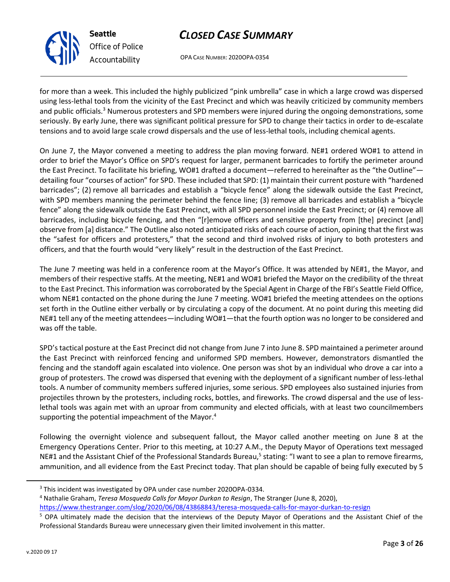OPA CASE NUMBER: 2020OPA-0354

for more than a week. This included the highly publicized "pink umbrella" case in which a large crowd was dispersed using less-lethal tools from the vicinity of the East Precinct and which was heavily criticized by community members and public officials.<sup>3</sup> Numerous protesters and SPD members were injured during the ongoing demonstrations, some seriously. By early June, there was significant political pressure for SPD to change their tactics in order to de-escalate tensions and to avoid large scale crowd dispersals and the use of less-lethal tools, including chemical agents.

On June 7, the Mayor convened a meeting to address the plan moving forward. NE#1 ordered WO#1 to attend in order to brief the Mayor's Office on SPD's request for larger, permanent barricades to fortify the perimeter around the East Precinct. To facilitate his briefing, WO#1 drafted a document—referred to hereinafter as the "the Outline" detailing four "courses of action" for SPD. These included that SPD: (1) maintain their current posture with "hardened barricades"; (2) remove all barricades and establish a "bicycle fence" along the sidewalk outside the East Precinct, with SPD members manning the perimeter behind the fence line; (3) remove all barricades and establish a "bicycle fence" along the sidewalk outside the East Precinct, with all SPD personnel inside the East Precinct; or (4) remove all barricades, including bicycle fencing, and then "[r]emove officers and sensitive property from [the] precinct [and] observe from [a] distance." The Outline also noted anticipated risks of each course of action, opining that the first was the "safest for officers and protesters," that the second and third involved risks of injury to both protesters and officers, and that the fourth would "very likely" result in the destruction of the East Precinct.

The June 7 meeting was held in a conference room at the Mayor's Office. It was attended by NE#1, the Mayor, and members of their respective staffs. At the meeting, NE#1 and WO#1 briefed the Mayor on the credibility of the threat to the East Precinct. This information was corroborated by the Special Agent in Charge of the FBI's Seattle Field Office, whom NE#1 contacted on the phone during the June 7 meeting. WO#1 briefed the meeting attendees on the options set forth in the Outline either verbally or by circulating a copy of the document. At no point during this meeting did NE#1 tell any of the meeting attendees—including WO#1—that the fourth option was no longer to be considered and was off the table.

SPD's tactical posture at the East Precinct did not change from June 7 into June 8. SPD maintained a perimeter around the East Precinct with reinforced fencing and uniformed SPD members. However, demonstrators dismantled the fencing and the standoff again escalated into violence. One person was shot by an individual who drove a car into a group of protesters. The crowd was dispersed that evening with the deployment of a significant number of less-lethal tools. A number of community members suffered injuries, some serious. SPD employees also sustained injuries from projectiles thrown by the protesters, including rocks, bottles, and fireworks. The crowd dispersal and the use of lesslethal tools was again met with an uproar from community and elected officials, with at least two councilmembers supporting the potential impeachment of the Mayor.<sup>4</sup>

Following the overnight violence and subsequent fallout, the Mayor called another meeting on June 8 at the Emergency Operations Center. Prior to this meeting, at 10:27 A.M., the Deputy Mayor of Operations text messaged NE#1 and the Assistant Chief of the Professional Standards Bureau,<sup>5</sup> stating: "I want to see a plan to remove firearms, ammunition, and all evidence from the East Precinct today. That plan should be capable of being fully executed by 5



**Seattle** *Office of Police Accountability*

<sup>&</sup>lt;sup>3</sup> This incident was investigated by OPA under case number 2020OPA-0334.

<sup>4</sup> Nathalie Graham, *Teresa Mosqueda Calls for Mayor Durkan to Resign*, The Stranger (June 8, 2020),

<https://www.thestranger.com/slog/2020/06/08/43868843/teresa-mosqueda-calls-for-mayor-durkan-to-resign>

<sup>&</sup>lt;sup>5</sup> OPA ultimately made the decision that the interviews of the Deputy Mayor of Operations and the Assistant Chief of the Professional Standards Bureau were unnecessary given their limited involvement in this matter.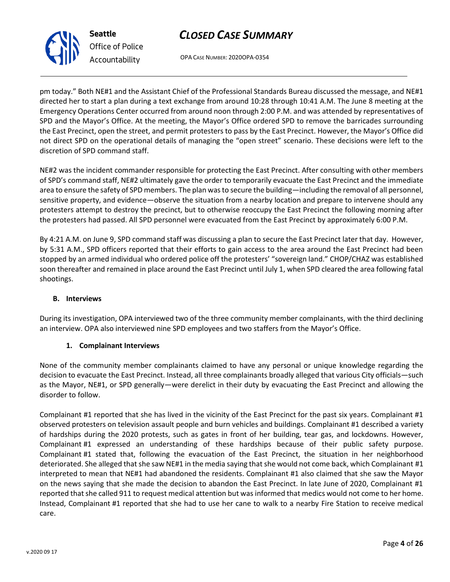OPA CASE NUMBER: 2020OPA-0354

pm today." Both NE#1 and the Assistant Chief of the Professional Standards Bureau discussed the message, and NE#1 directed her to start a plan during a text exchange from around 10:28 through 10:41 A.M. The June 8 meeting at the Emergency Operations Center occurred from around noon through 2:00 P.M. and was attended by representatives of SPD and the Mayor's Office. At the meeting, the Mayor's Office ordered SPD to remove the barricades surrounding the East Precinct, open the street, and permit protesters to pass by the East Precinct. However, the Mayor's Office did not direct SPD on the operational details of managing the "open street" scenario. These decisions were left to the discretion of SPD command staff.

NE#2 was the incident commander responsible for protecting the East Precinct. After consulting with other members of SPD's command staff, NE#2 ultimately gave the order to temporarily evacuate the East Precinct and the immediate area to ensure the safety of SPD members. The plan was to secure the building—including the removal of all personnel, sensitive property, and evidence—observe the situation from a nearby location and prepare to intervene should any protesters attempt to destroy the precinct, but to otherwise reoccupy the East Precinct the following morning after the protesters had passed. All SPD personnel were evacuated from the East Precinct by approximately 6:00 P.M.

By 4:21 A.M. on June 9, SPD command staff was discussing a plan to secure the East Precinct later that day. However, by 5:31 A.M., SPD officers reported that their efforts to gain access to the area around the East Precinct had been stopped by an armed individual who ordered police off the protesters' "sovereign land." CHOP/CHAZ was established soon thereafter and remained in place around the East Precinct until July 1, when SPD cleared the area following fatal shootings.

#### **B. Interviews**

During its investigation, OPA interviewed two of the three community member complainants, with the third declining an interview. OPA also interviewed nine SPD employees and two staffers from the Mayor's Office.

### **1. Complainant Interviews**

None of the community member complainants claimed to have any personal or unique knowledge regarding the decision to evacuate the East Precinct. Instead, all three complainants broadly alleged that various City officials—such as the Mayor, NE#1, or SPD generally—were derelict in their duty by evacuating the East Precinct and allowing the disorder to follow.

Complainant #1 reported that she has lived in the vicinity of the East Precinct for the past six years. Complainant #1 observed protesters on television assault people and burn vehicles and buildings. Complainant #1 described a variety of hardships during the 2020 protests, such as gates in front of her building, tear gas, and lockdowns. However, Complainant #1 expressed an understanding of these hardships because of their public safety purpose. Complainant #1 stated that, following the evacuation of the East Precinct, the situation in her neighborhood deteriorated. She alleged that she saw NE#1 in the media saying that she would not come back, which Complainant #1 interpreted to mean that NE#1 had abandoned the residents. Complainant #1 also claimed that she saw the Mayor on the news saying that she made the decision to abandon the East Precinct. In late June of 2020, Complainant #1 reported that she called 911 to request medical attention but was informed that medics would not come to her home. Instead, Complainant #1 reported that she had to use her cane to walk to a nearby Fire Station to receive medical care.



**Seattle** *Office of Police Accountability*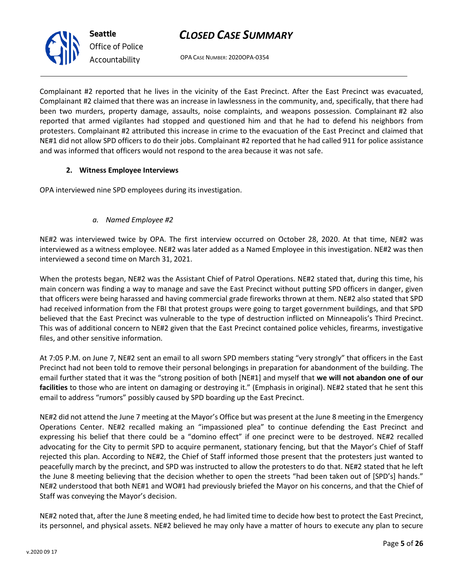OPA CASE NUMBER: 2020OPA-0354

Complainant #2 reported that he lives in the vicinity of the East Precinct. After the East Precinct was evacuated, Complainant #2 claimed that there was an increase in lawlessness in the community, and, specifically, that there had been two murders, property damage, assaults, noise complaints, and weapons possession. Complainant #2 also reported that armed vigilantes had stopped and questioned him and that he had to defend his neighbors from protesters. Complainant #2 attributed this increase in crime to the evacuation of the East Precinct and claimed that NE#1 did not allow SPD officers to do their jobs. Complainant #2 reported that he had called 911 for police assistance and was informed that officers would not respond to the area because it was not safe.

### **2. Witness Employee Interviews**

OPA interviewed nine SPD employees during its investigation.

### *a. Named Employee #2*

NE#2 was interviewed twice by OPA. The first interview occurred on October 28, 2020. At that time, NE#2 was interviewed as a witness employee. NE#2 was later added as a Named Employee in this investigation. NE#2 was then interviewed a second time on March 31, 2021.

When the protests began, NE#2 was the Assistant Chief of Patrol Operations. NE#2 stated that, during this time, his main concern was finding a way to manage and save the East Precinct without putting SPD officers in danger, given that officers were being harassed and having commercial grade fireworks thrown at them. NE#2 also stated that SPD had received information from the FBI that protest groups were going to target government buildings, and that SPD believed that the East Precinct was vulnerable to the type of destruction inflicted on Minneapolis's Third Precinct. This was of additional concern to NE#2 given that the East Precinct contained police vehicles, firearms, investigative files, and other sensitive information.

At 7:05 P.M. on June 7, NE#2 sent an email to all sworn SPD members stating "very strongly" that officers in the East Precinct had not been told to remove their personal belongings in preparation for abandonment of the building. The email further stated that it was the "strong position of both [NE#1] and myself that **we will not abandon one of our facilities** to those who are intent on damaging or destroying it." (Emphasis in original). NE#2 stated that he sent this email to address "rumors" possibly caused by SPD boarding up the East Precinct.

NE#2 did not attend the June 7 meeting at the Mayor's Office but was present at the June 8 meeting in the Emergency Operations Center. NE#2 recalled making an "impassioned plea" to continue defending the East Precinct and expressing his belief that there could be a "domino effect" if one precinct were to be destroyed. NE#2 recalled advocating for the City to permit SPD to acquire permanent, stationary fencing, but that the Mayor's Chief of Staff rejected this plan. According to NE#2, the Chief of Staff informed those present that the protesters just wanted to peacefully march by the precinct, and SPD was instructed to allow the protesters to do that. NE#2 stated that he left the June 8 meeting believing that the decision whether to open the streets "had been taken out of [SPD's] hands." NE#2 understood that both NE#1 and WO#1 had previously briefed the Mayor on his concerns, and that the Chief of Staff was conveying the Mayor's decision.

NE#2 noted that, after the June 8 meeting ended, he had limited time to decide how best to protect the East Precinct, its personnel, and physical assets. NE#2 believed he may only have a matter of hours to execute any plan to secure



**Seattle**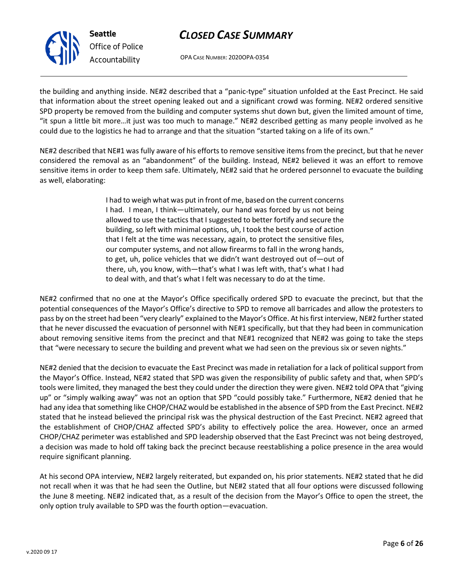OPA CASE NUMBER: 2020OPA-0354

the building and anything inside. NE#2 described that a "panic-type" situation unfolded at the East Precinct. He said that information about the street opening leaked out and a significant crowd was forming. NE#2 ordered sensitive SPD property be removed from the building and computer systems shut down but, given the limited amount of time, "it spun a little bit more…it just was too much to manage." NE#2 described getting as many people involved as he could due to the logistics he had to arrange and that the situation "started taking on a life of its own."

NE#2 described that NE#1 was fully aware of his efforts to remove sensitive items from the precinct, but that he never considered the removal as an "abandonment" of the building. Instead, NE#2 believed it was an effort to remove sensitive items in order to keep them safe. Ultimately, NE#2 said that he ordered personnel to evacuate the building as well, elaborating:

> I had to weigh what was put in front of me, based on the current concerns I had. I mean, I think—ultimately, our hand was forced by us not being allowed to use the tactics that I suggested to better fortify and secure the building, so left with minimal options, uh, I took the best course of action that I felt at the time was necessary, again, to protect the sensitive files, our computer systems, and not allow firearms to fall in the wrong hands, to get, uh, police vehicles that we didn't want destroyed out of—out of there, uh, you know, with—that's what I was left with, that's what I had to deal with, and that's what I felt was necessary to do at the time.

NE#2 confirmed that no one at the Mayor's Office specifically ordered SPD to evacuate the precinct, but that the potential consequences of the Mayor's Office's directive to SPD to remove all barricades and allow the protesters to pass by on the street had been "very clearly" explained to the Mayor's Office. At his first interview, NE#2 further stated that he never discussed the evacuation of personnel with NE#1 specifically, but that they had been in communication about removing sensitive items from the precinct and that NE#1 recognized that NE#2 was going to take the steps that "were necessary to secure the building and prevent what we had seen on the previous six or seven nights."

NE#2 denied that the decision to evacuate the East Precinct was made in retaliation for a lack of political support from the Mayor's Office. Instead, NE#2 stated that SPD was given the responsibility of public safety and that, when SPD's tools were limited, they managed the best they could under the direction they were given. NE#2 told OPA that "giving up" or "simply walking away" was not an option that SPD "could possibly take." Furthermore, NE#2 denied that he had any idea that something like CHOP/CHAZ would be established in the absence of SPD from the East Precinct. NE#2 stated that he instead believed the principal risk was the physical destruction of the East Precinct. NE#2 agreed that the establishment of CHOP/CHAZ affected SPD's ability to effectively police the area. However, once an armed CHOP/CHAZ perimeter was established and SPD leadership observed that the East Precinct was not being destroyed, a decision was made to hold off taking back the precinct because reestablishing a police presence in the area would require significant planning.

At his second OPA interview, NE#2 largely reiterated, but expanded on, his prior statements. NE#2 stated that he did not recall when it was that he had seen the Outline, but NE#2 stated that all four options were discussed following the June 8 meeting. NE#2 indicated that, as a result of the decision from the Mayor's Office to open the street, the only option truly available to SPD was the fourth option—evacuation.



**Seattle**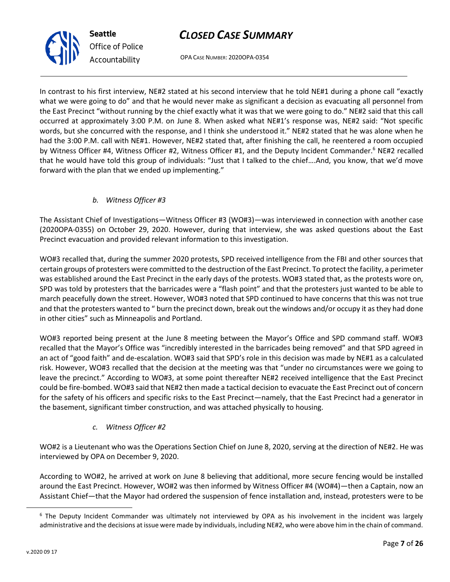

OPA CASE NUMBER: 2020OPA-0354

In contrast to his first interview, NE#2 stated at his second interview that he told NE#1 during a phone call "exactly what we were going to do" and that he would never make as significant a decision as evacuating all personnel from the East Precinct "without running by the chief exactly what it was that we were going to do." NE#2 said that this call occurred at approximately 3:00 P.M. on June 8. When asked what NE#1's response was, NE#2 said: "Not specific words, but she concurred with the response, and I think she understood it." NE#2 stated that he was alone when he had the 3:00 P.M. call with NE#1. However, NE#2 stated that, after finishing the call, he reentered a room occupied by Witness Officer #4, Witness Officer #2, Witness Officer #1, and the Deputy Incident Commander.<sup>6</sup> NE#2 recalled that he would have told this group of individuals: "Just that I talked to the chief….And, you know, that we'd move forward with the plan that we ended up implementing."

### *b. Witness Officer #3*

The Assistant Chief of Investigations—Witness Officer #3 (WO#3)—was interviewed in connection with another case (2020OPA-0355) on October 29, 2020. However, during that interview, she was asked questions about the East Precinct evacuation and provided relevant information to this investigation.

WO#3 recalled that, during the summer 2020 protests, SPD received intelligence from the FBI and other sources that certain groups of protesters were committed to the destruction of the East Precinct. To protect the facility, a perimeter was established around the East Precinct in the early days of the protests. WO#3 stated that, as the protests wore on, SPD was told by protesters that the barricades were a "flash point" and that the protesters just wanted to be able to march peacefully down the street. However, WO#3 noted that SPD continued to have concerns that this was not true and that the protesters wanted to " burn the precinct down, break out the windows and/or occupy it as they had done in other cities" such as Minneapolis and Portland.

WO#3 reported being present at the June 8 meeting between the Mayor's Office and SPD command staff. WO#3 recalled that the Mayor's Office was "incredibly interested in the barricades being removed" and that SPD agreed in an act of "good faith" and de-escalation. WO#3 said that SPD's role in this decision was made by NE#1 as a calculated risk. However, WO#3 recalled that the decision at the meeting was that "under no circumstances were we going to leave the precinct." According to WO#3, at some point thereafter NE#2 received intelligence that the East Precinct could be fire-bombed. WO#3 said that NE#2 then made a tactical decision to evacuate the East Precinct out of concern for the safety of his officers and specific risks to the East Precinct—namely, that the East Precinct had a generator in the basement, significant timber construction, and was attached physically to housing.

### *c. Witness Officer #2*

WO#2 is a Lieutenant who was the Operations Section Chief on June 8, 2020, serving at the direction of NE#2. He was interviewed by OPA on December 9, 2020.

According to WO#2, he arrived at work on June 8 believing that additional, more secure fencing would be installed around the East Precinct. However, WO#2 was then informed by Witness Officer #4 (WO#4)—then a Captain, now an Assistant Chief—that the Mayor had ordered the suspension of fence installation and, instead, protesters were to be

<sup>&</sup>lt;sup>6</sup> The Deputy Incident Commander was ultimately not interviewed by OPA as his involvement in the incident was largely administrative and the decisions at issue were made by individuals, including NE#2, who were above him in the chain of command.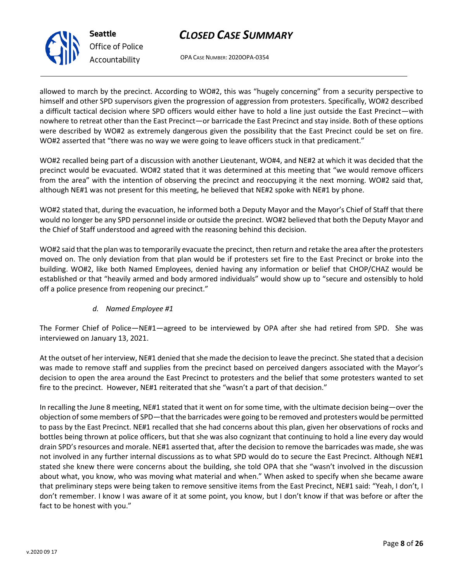OPA CASE NUMBER: 2020OPA-0354

allowed to march by the precinct. According to WO#2, this was "hugely concerning" from a security perspective to himself and other SPD supervisors given the progression of aggression from protesters. Specifically, WO#2 described a difficult tactical decision where SPD officers would either have to hold a line just outside the East Precinct—with nowhere to retreat other than the East Precinct—or barricade the East Precinct and stay inside. Both of these options were described by WO#2 as extremely dangerous given the possibility that the East Precinct could be set on fire. WO#2 asserted that "there was no way we were going to leave officers stuck in that predicament."

WO#2 recalled being part of a discussion with another Lieutenant, WO#4, and NE#2 at which it was decided that the precinct would be evacuated. WO#2 stated that it was determined at this meeting that "we would remove officers from the area" with the intention of observing the precinct and reoccupying it the next morning. WO#2 said that, although NE#1 was not present for this meeting, he believed that NE#2 spoke with NE#1 by phone.

WO#2 stated that, during the evacuation, he informed both a Deputy Mayor and the Mayor's Chief of Staff that there would no longer be any SPD personnel inside or outside the precinct. WO#2 believed that both the Deputy Mayor and the Chief of Staff understood and agreed with the reasoning behind this decision.

WO#2 said that the plan was to temporarily evacuate the precinct, then return and retake the area after the protesters moved on. The only deviation from that plan would be if protesters set fire to the East Precinct or broke into the building. WO#2, like both Named Employees, denied having any information or belief that CHOP/CHAZ would be established or that "heavily armed and body armored individuals" would show up to "secure and ostensibly to hold off a police presence from reopening our precinct."

### *d. Named Employee #1*

The Former Chief of Police—NE#1—agreed to be interviewed by OPA after she had retired from SPD. She was interviewed on January 13, 2021.

At the outset of her interview, NE#1 denied that she made the decision to leave the precinct. She stated that a decision was made to remove staff and supplies from the precinct based on perceived dangers associated with the Mayor's decision to open the area around the East Precinct to protesters and the belief that some protesters wanted to set fire to the precinct. However, NE#1 reiterated that she "wasn't a part of that decision."

In recalling the June 8 meeting, NE#1 stated that it went on for some time, with the ultimate decision being—over the objection of some members of SPD—that the barricades were going to be removed and protesters would be permitted to pass by the East Precinct. NE#1 recalled that she had concerns about this plan, given her observations of rocks and bottles being thrown at police officers, but that she was also cognizant that continuing to hold a line every day would drain SPD's resources and morale. NE#1 asserted that, after the decision to remove the barricades was made, she was not involved in any further internal discussions as to what SPD would do to secure the East Precinct. Although NE#1 stated she knew there were concerns about the building, she told OPA that she "wasn't involved in the discussion about what, you know, who was moving what material and when." When asked to specify when she became aware that preliminary steps were being taken to remove sensitive items from the East Precinct, NE#1 said: "Yeah, I don't, I don't remember. I know I was aware of it at some point, you know, but I don't know if that was before or after the fact to be honest with you."



**Seattle**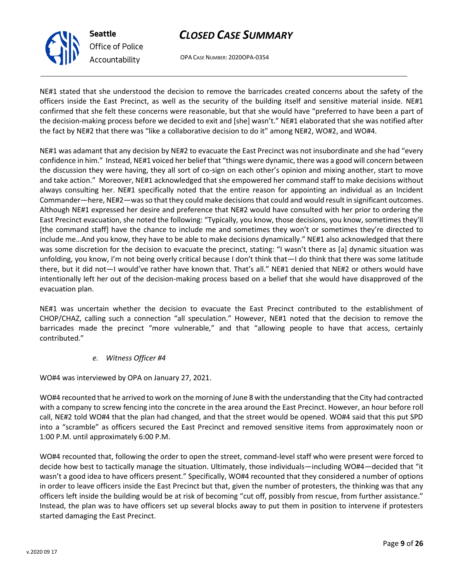

# *CLOSED CASE SUMMARY*

OPA CASE NUMBER: 2020OPA-0354

NE#1 stated that she understood the decision to remove the barricades created concerns about the safety of the officers inside the East Precinct, as well as the security of the building itself and sensitive material inside. NE#1 confirmed that she felt these concerns were reasonable, but that she would have "preferred to have been a part of the decision-making process before we decided to exit and [she] wasn't." NE#1 elaborated that she was notified after the fact by NE#2 that there was "like a collaborative decision to do it" among NE#2, WO#2, and WO#4.

NE#1 was adamant that any decision by NE#2 to evacuate the East Precinct was not insubordinate and she had "every confidence in him." Instead, NE#1 voiced her belief that "things were dynamic, there was a good will concern between the discussion they were having, they all sort of co-sign on each other's opinion and mixing another, start to move and take action." Moreover, NE#1 acknowledged that she empowered her command staff to make decisions without always consulting her. NE#1 specifically noted that the entire reason for appointing an individual as an Incident Commander—here, NE#2—was so that they could make decisions that could and would result in significant outcomes. Although NE#1 expressed her desire and preference that NE#2 would have consulted with her prior to ordering the East Precinct evacuation, she noted the following: "Typically, you know, those decisions, you know, sometimes they'll [the command staff] have the chance to include me and sometimes they won't or sometimes they're directed to include me…And you know, they have to be able to make decisions dynamically." NE#1 also acknowledged that there was some discretion for the decision to evacuate the precinct, stating: "I wasn't there as [a] dynamic situation was unfolding, you know, I'm not being overly critical because I don't think that—I do think that there was some latitude there, but it did not—I would've rather have known that. That's all." NE#1 denied that NE#2 or others would have intentionally left her out of the decision-making process based on a belief that she would have disapproved of the evacuation plan.

NE#1 was uncertain whether the decision to evacuate the East Precinct contributed to the establishment of CHOP/CHAZ, calling such a connection "all speculation." However, NE#1 noted that the decision to remove the barricades made the precinct "more vulnerable," and that "allowing people to have that access, certainly contributed."

### *e. Witness Officer #4*

WO#4 was interviewed by OPA on January 27, 2021.

WO#4 recounted that he arrived to work on the morning of June 8 with the understanding that the City had contracted with a company to screw fencing into the concrete in the area around the East Precinct. However, an hour before roll call, NE#2 told WO#4 that the plan had changed, and that the street would be opened. WO#4 said that this put SPD into a "scramble" as officers secured the East Precinct and removed sensitive items from approximately noon or 1:00 P.M. until approximately 6:00 P.M.

WO#4 recounted that, following the order to open the street, command-level staff who were present were forced to decide how best to tactically manage the situation. Ultimately, those individuals—including WO#4—decided that "it wasn't a good idea to have officers present." Specifically, WO#4 recounted that they considered a number of options in order to leave officers inside the East Precinct but that, given the number of protesters, the thinking was that any officers left inside the building would be at risk of becoming "cut off, possibly from rescue, from further assistance." Instead, the plan was to have officers set up several blocks away to put them in position to intervene if protesters started damaging the East Precinct.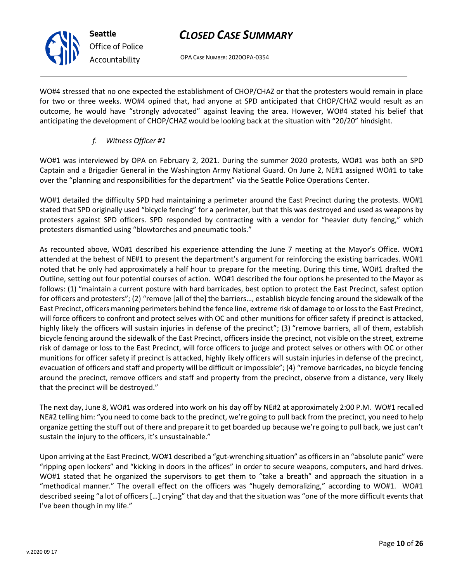OPA CASE NUMBER: 2020OPA-0354

WO#4 stressed that no one expected the establishment of CHOP/CHAZ or that the protesters would remain in place for two or three weeks. WO#4 opined that, had anyone at SPD anticipated that CHOP/CHAZ would result as an outcome, he would have "strongly advocated" against leaving the area. However, WO#4 stated his belief that anticipating the development of CHOP/CHAZ would be looking back at the situation with "20/20" hindsight.

*f. Witness Officer #1*

WO#1 was interviewed by OPA on February 2, 2021. During the summer 2020 protests, WO#1 was both an SPD Captain and a Brigadier General in the Washington Army National Guard. On June 2, NE#1 assigned WO#1 to take over the "planning and responsibilities for the department" via the Seattle Police Operations Center.

WO#1 detailed the difficulty SPD had maintaining a perimeter around the East Precinct during the protests. WO#1 stated that SPD originally used "bicycle fencing" for a perimeter, but that this was destroyed and used as weapons by protesters against SPD officers. SPD responded by contracting with a vendor for "heavier duty fencing," which protesters dismantled using "blowtorches and pneumatic tools."

As recounted above, WO#1 described his experience attending the June 7 meeting at the Mayor's Office. WO#1 attended at the behest of NE#1 to present the department's argument for reinforcing the existing barricades. WO#1 noted that he only had approximately a half hour to prepare for the meeting. During this time, WO#1 drafted the Outline, setting out four potential courses of action. WO#1 described the four options he presented to the Mayor as follows: (1) "maintain a current posture with hard barricades, best option to protect the East Precinct, safest option for officers and protesters"; (2) "remove [all of the] the barriers…, establish bicycle fencing around the sidewalk of the East Precinct, officers manning perimeters behind the fence line, extreme risk of damage to or loss to the East Precinct, will force officers to confront and protect selves with OC and other munitions for officer safety if precinct is attacked, highly likely the officers will sustain injuries in defense of the precinct"; (3) "remove barriers, all of them, establish bicycle fencing around the sidewalk of the East Precinct, officers inside the precinct, not visible on the street, extreme risk of damage or loss to the East Precinct, will force officers to judge and protect selves or others with OC or other munitions for officer safety if precinct is attacked, highly likely officers will sustain injuries in defense of the precinct, evacuation of officers and staff and property will be difficult or impossible"; (4) "remove barricades, no bicycle fencing around the precinct, remove officers and staff and property from the precinct, observe from a distance, very likely that the precinct will be destroyed."

The next day, June 8, WO#1 was ordered into work on his day off by NE#2 at approximately 2:00 P.M. WO#1 recalled NE#2 telling him: "you need to come back to the precinct, we're going to pull back from the precinct, you need to help organize getting the stuff out of there and prepare it to get boarded up because we're going to pull back, we just can't sustain the injury to the officers, it's unsustainable."

Upon arriving at the East Precinct, WO#1 described a "gut-wrenching situation" as officers in an "absolute panic" were "ripping open lockers" and "kicking in doors in the offices" in order to secure weapons, computers, and hard drives. WO#1 stated that he organized the supervisors to get them to "take a breath" and approach the situation in a "methodical manner." The overall effect on the officers was "hugely demoralizing," according to WO#1. WO#1 described seeing "a lot of officers […] crying" that day and that the situation was "one of the more difficult events that I've been though in my life."



**Seattle**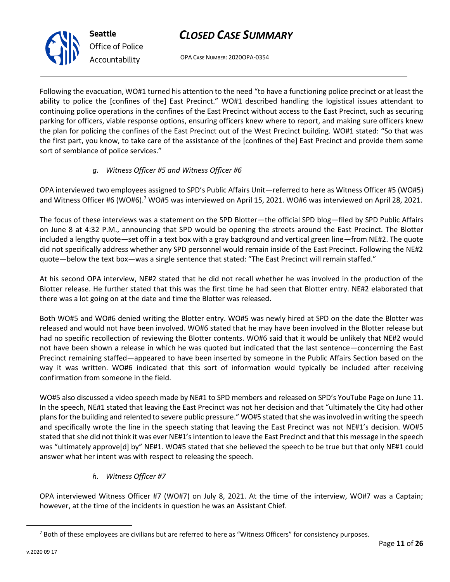OPA CASE NUMBER: 2020OPA-0354

Following the evacuation, WO#1 turned his attention to the need "to have a functioning police precinct or at least the ability to police the [confines of the] East Precinct." WO#1 described handling the logistical issues attendant to continuing police operations in the confines of the East Precinct without access to the East Precinct, such as securing parking for officers, viable response options, ensuring officers knew where to report, and making sure officers knew the plan for policing the confines of the East Precinct out of the West Precinct building. WO#1 stated: "So that was the first part, you know, to take care of the assistance of the [confines of the] East Precinct and provide them some sort of semblance of police services."

### *g. Witness Officer #5 and Witness Officer #6*

OPA interviewed two employees assigned to SPD's Public Affairs Unit—referred to here as Witness Officer #5 (WO#5) and Witness Officer #6 (WO#6).<sup>7</sup> WO#5 was interviewed on April 15, 2021. WO#6 was interviewed on April 28, 2021.

The focus of these interviews was a statement on the SPD Blotter—the official SPD blog—filed by SPD Public Affairs on June 8 at 4:32 P.M., announcing that SPD would be opening the streets around the East Precinct. The Blotter included a lengthy quote—set off in a text box with a gray background and vertical green line—from NE#2. The quote did not specifically address whether any SPD personnel would remain inside of the East Precinct. Following the NE#2 quote—below the text box—was a single sentence that stated: "The East Precinct will remain staffed."

At his second OPA interview, NE#2 stated that he did not recall whether he was involved in the production of the Blotter release. He further stated that this was the first time he had seen that Blotter entry. NE#2 elaborated that there was a lot going on at the date and time the Blotter was released.

Both WO#5 and WO#6 denied writing the Blotter entry. WO#5 was newly hired at SPD on the date the Blotter was released and would not have been involved. WO#6 stated that he may have been involved in the Blotter release but had no specific recollection of reviewing the Blotter contents. WO#6 said that it would be unlikely that NE#2 would not have been shown a release in which he was quoted but indicated that the last sentence—concerning the East Precinct remaining staffed—appeared to have been inserted by someone in the Public Affairs Section based on the way it was written. WO#6 indicated that this sort of information would typically be included after receiving confirmation from someone in the field.

WO#5 also discussed a video speech made by NE#1 to SPD members and released on SPD's YouTube Page on June 11. In the speech, NE#1 stated that leaving the East Precinct was not her decision and that "ultimately the City had other plans for the building and relented to severe public pressure." WO#5 stated that she was involved in writing the speech and specifically wrote the line in the speech stating that leaving the East Precinct was not NE#1's decision. WO#5 stated that she did not think it was ever NE#1's intention to leave the East Precinct and that this message in the speech was "ultimately approve[d] by" NE#1. WO#5 stated that she believed the speech to be true but that only NE#1 could answer what her intent was with respect to releasing the speech.

### *h. Witness Officer #7*

OPA interviewed Witness Officer #7 (WO#7) on July 8, 2021. At the time of the interview, WO#7 was a Captain; however, at the time of the incidents in question he was an Assistant Chief.



**Seattle** *Office of Police Accountability*

<sup>&</sup>lt;sup>7</sup> Both of these employees are civilians but are referred to here as "Witness Officers" for consistency purposes.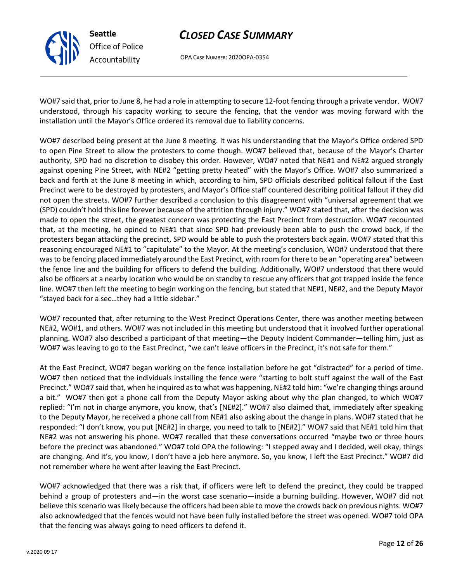OPA CASE NUMBER: 2020OPA-0354

WO#7 said that, prior to June 8, he had a role in attempting to secure 12-foot fencing through a private vendor. WO#7 understood, through his capacity working to secure the fencing, that the vendor was moving forward with the installation until the Mayor's Office ordered its removal due to liability concerns.

WO#7 described being present at the June 8 meeting. It was his understanding that the Mayor's Office ordered SPD to open Pine Street to allow the protesters to come though. WO#7 believed that, because of the Mayor's Charter authority, SPD had no discretion to disobey this order. However, WO#7 noted that NE#1 and NE#2 argued strongly against opening Pine Street, with NE#2 "getting pretty heated" with the Mayor's Office. WO#7 also summarized a back and forth at the June 8 meeting in which, according to him, SPD officials described political fallout if the East Precinct were to be destroyed by protesters, and Mayor's Office staff countered describing political fallout if they did not open the streets. WO#7 further described a conclusion to this disagreement with "universal agreement that we (SPD) couldn't hold this line forever because of the attrition through injury." WO#7 stated that, after the decision was made to open the street, the greatest concern was protecting the East Precinct from destruction. WO#7 recounted that, at the meeting, he opined to NE#1 that since SPD had previously been able to push the crowd back, if the protesters began attacking the precinct, SPD would be able to push the protesters back again. WO#7 stated that this reasoning encouraged NE#1 to "capitulate" to the Mayor. At the meeting's conclusion, WO#7 understood that there was to be fencing placed immediately around the East Precinct, with room for there to be an "operating area" between the fence line and the building for officers to defend the building. Additionally, WO#7 understood that there would also be officers at a nearby location who would be on standby to rescue any officers that got trapped inside the fence line. WO#7 then left the meeting to begin working on the fencing, but stated that NE#1, NE#2, and the Deputy Mayor "stayed back for a sec…they had a little sidebar."

WO#7 recounted that, after returning to the West Precinct Operations Center, there was another meeting between NE#2, WO#1, and others. WO#7 was not included in this meeting but understood that it involved further operational planning. WO#7 also described a participant of that meeting—the Deputy Incident Commander—telling him, just as WO#7 was leaving to go to the East Precinct, "we can't leave officers in the Precinct, it's not safe for them."

At the East Precinct, WO#7 began working on the fence installation before he got "distracted" for a period of time. WO#7 then noticed that the individuals installing the fence were "starting to bolt stuff against the wall of the East Precinct." WO#7 said that, when he inquired as to what was happening, NE#2 told him: "we're changing things around a bit." WO#7 then got a phone call from the Deputy Mayor asking about why the plan changed, to which WO#7 replied: "I'm not in charge anymore, you know, that's [NE#2]." WO#7 also claimed that, immediately after speaking to the Deputy Mayor, he received a phone call from NE#1 also asking about the change in plans. WO#7 stated that he responded: "I don't know, you put [NE#2] in charge, you need to talk to [NE#2]." WO#7 said that NE#1 told him that NE#2 was not answering his phone. WO#7 recalled that these conversations occurred "maybe two or three hours before the precinct was abandoned." WO#7 told OPA the following: "I stepped away and I decided, well okay, things are changing. And it's, you know, I don't have a job here anymore. So, you know, I left the East Precinct." WO#7 did not remember where he went after leaving the East Precinct.

WO#7 acknowledged that there was a risk that, if officers were left to defend the precinct, they could be trapped behind a group of protesters and—in the worst case scenario—inside a burning building. However, WO#7 did not believe this scenario was likely because the officers had been able to move the crowds back on previous nights. WO#7 also acknowledged that the fences would not have been fully installed before the street was opened. WO#7 told OPA that the fencing was always going to need officers to defend it.



**Seattle**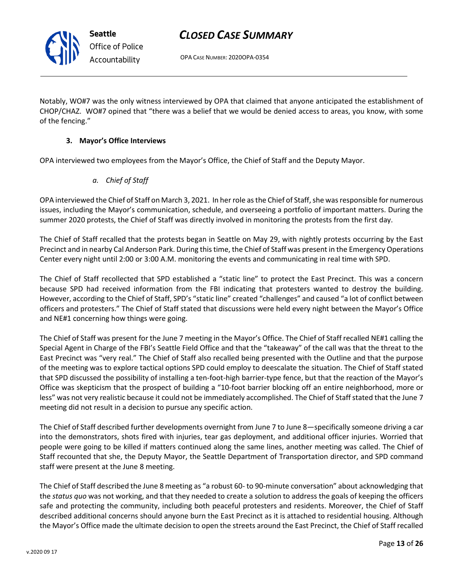OPA CASE NUMBER: 2020OPA-0354

Notably, WO#7 was the only witness interviewed by OPA that claimed that anyone anticipated the establishment of CHOP/CHAZ. WO#7 opined that "there was a belief that we would be denied access to areas, you know, with some of the fencing."

### **3. Mayor's Office Interviews**

OPA interviewed two employees from the Mayor's Office, the Chief of Staff and the Deputy Mayor.

*a. Chief of Staff*

OPA interviewed the Chief of Staff on March 3, 2021. In her role as the Chief of Staff, she was responsible for numerous issues, including the Mayor's communication, schedule, and overseeing a portfolio of important matters. During the summer 2020 protests, the Chief of Staff was directly involved in monitoring the protests from the first day.

The Chief of Staff recalled that the protests began in Seattle on May 29, with nightly protests occurring by the East Precinct and in nearby Cal Anderson Park. During this time, the Chief of Staff was present in the Emergency Operations Center every night until 2:00 or 3:00 A.M. monitoring the events and communicating in real time with SPD.

The Chief of Staff recollected that SPD established a "static line" to protect the East Precinct. This was a concern because SPD had received information from the FBI indicating that protesters wanted to destroy the building. However, according to the Chief of Staff, SPD's "static line" created "challenges" and caused "a lot of conflict between officers and protesters." The Chief of Staff stated that discussions were held every night between the Mayor's Office and NE#1 concerning how things were going.

The Chief of Staff was present for the June 7 meeting in the Mayor's Office. The Chief of Staff recalled NE#1 calling the Special Agent in Charge of the FBI's Seattle Field Office and that the "takeaway" of the call was that the threat to the East Precinct was "very real." The Chief of Staff also recalled being presented with the Outline and that the purpose of the meeting was to explore tactical options SPD could employ to deescalate the situation. The Chief of Staff stated that SPD discussed the possibility of installing a ten-foot-high barrier-type fence, but that the reaction of the Mayor's Office was skepticism that the prospect of building a "10-foot barrier blocking off an entire neighborhood, more or less" was not very realistic because it could not be immediately accomplished. The Chief of Staff stated that the June 7 meeting did not result in a decision to pursue any specific action.

The Chief of Staff described further developments overnight from June 7 to June 8—specifically someone driving a car into the demonstrators, shots fired with injuries, tear gas deployment, and additional officer injuries. Worried that people were going to be killed if matters continued along the same lines, another meeting was called. The Chief of Staff recounted that she, the Deputy Mayor, the Seattle Department of Transportation director, and SPD command staff were present at the June 8 meeting.

The Chief of Staff described the June 8 meeting as "a robust 60- to 90-minute conversation" about acknowledging that the *status quo* was not working, and that they needed to create a solution to address the goals of keeping the officers safe and protecting the community, including both peaceful protesters and residents. Moreover, the Chief of Staff described additional concerns should anyone burn the East Precinct as it is attached to residential housing. Although the Mayor's Office made the ultimate decision to open the streets around the East Precinct, the Chief of Staff recalled

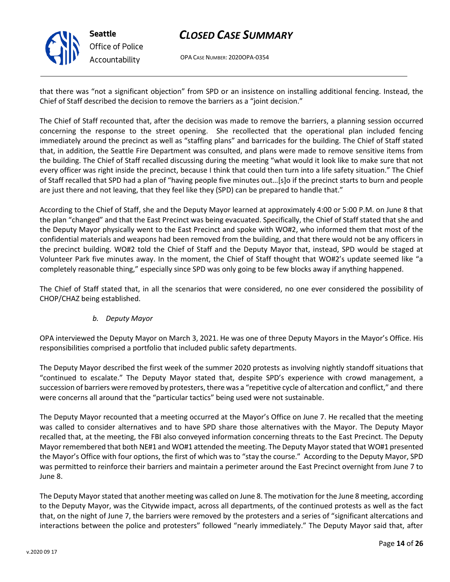

OPA CASE NUMBER: 2020OPA-0354

that there was "not a significant objection" from SPD or an insistence on installing additional fencing. Instead, the Chief of Staff described the decision to remove the barriers as a "joint decision."

The Chief of Staff recounted that, after the decision was made to remove the barriers, a planning session occurred concerning the response to the street opening. She recollected that the operational plan included fencing immediately around the precinct as well as "staffing plans" and barricades for the building. The Chief of Staff stated that, in addition, the Seattle Fire Department was consulted, and plans were made to remove sensitive items from the building. The Chief of Staff recalled discussing during the meeting "what would it look like to make sure that not every officer was right inside the precinct, because I think that could then turn into a life safety situation." The Chief of Staff recalled that SPD had a plan of "having people five minutes out…[s]o if the precinct starts to burn and people are just there and not leaving, that they feel like they (SPD) can be prepared to handle that."

According to the Chief of Staff, she and the Deputy Mayor learned at approximately 4:00 or 5:00 P.M. on June 8 that the plan "changed" and that the East Precinct was being evacuated. Specifically, the Chief of Staff stated that she and the Deputy Mayor physically went to the East Precinct and spoke with WO#2, who informed them that most of the confidential materials and weapons had been removed from the building, and that there would not be any officers in the precinct building. WO#2 told the Chief of Staff and the Deputy Mayor that, instead, SPD would be staged at Volunteer Park five minutes away. In the moment, the Chief of Staff thought that WO#2's update seemed like "a completely reasonable thing," especially since SPD was only going to be few blocks away if anything happened.

The Chief of Staff stated that, in all the scenarios that were considered, no one ever considered the possibility of CHOP/CHAZ being established.

### *b. Deputy Mayor*

OPA interviewed the Deputy Mayor on March 3, 2021. He was one of three Deputy Mayors in the Mayor's Office. His responsibilities comprised a portfolio that included public safety departments.

The Deputy Mayor described the first week of the summer 2020 protests as involving nightly standoff situations that "continued to escalate." The Deputy Mayor stated that, despite SPD's experience with crowd management, a succession of barriers were removed by protesters, there was a "repetitive cycle of altercation and conflict," and there were concerns all around that the "particular tactics" being used were not sustainable.

The Deputy Mayor recounted that a meeting occurred at the Mayor's Office on June 7. He recalled that the meeting was called to consider alternatives and to have SPD share those alternatives with the Mayor. The Deputy Mayor recalled that, at the meeting, the FBI also conveyed information concerning threats to the East Precinct. The Deputy Mayor remembered that both NE#1 and WO#1 attended the meeting. The Deputy Mayor stated that WO#1 presented the Mayor's Office with four options, the first of which was to "stay the course." According to the Deputy Mayor, SPD was permitted to reinforce their barriers and maintain a perimeter around the East Precinct overnight from June 7 to June 8.

The Deputy Mayor stated that another meeting was called on June 8. The motivation for the June 8 meeting, according to the Deputy Mayor, was the Citywide impact, across all departments, of the continued protests as well as the fact that, on the night of June 7, the barriers were removed by the protesters and a series of "significant altercations and interactions between the police and protesters" followed "nearly immediately." The Deputy Mayor said that, after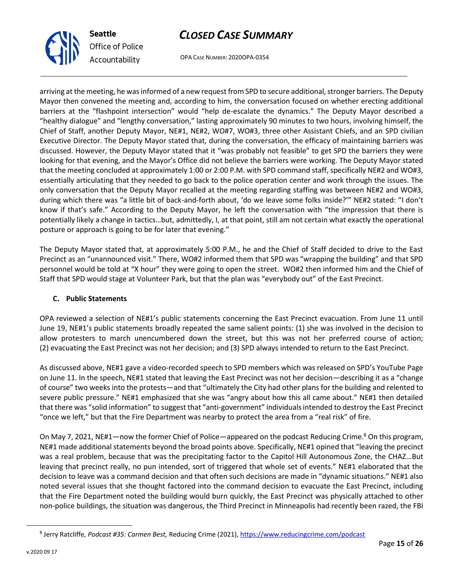



OPA CASE NUMBER: 2020OPA-0354

arriving at the meeting, he was informed of a new request from SPD to secure additional, stronger barriers. The Deputy Mayor then convened the meeting and, according to him, the conversation focused on whether erecting additional barriers at the "flashpoint intersection" would "help de-escalate the dynamics." The Deputy Mayor described a "healthy dialogue" and "lengthy conversation," lasting approximately 90 minutes to two hours, involving himself, the Chief of Staff, another Deputy Mayor, NE#1, NE#2, WO#7, WO#3, three other Assistant Chiefs, and an SPD civilian Executive Director. The Deputy Mayor stated that, during the conversation, the efficacy of maintaining barriers was discussed. However, the Deputy Mayor stated that it "was probably not feasible" to get SPD the barriers they were looking for that evening, and the Mayor's Office did not believe the barriers were working. The Deputy Mayor stated that the meeting concluded at approximately 1:00 or 2:00 P.M. with SPD command staff, specifically NE#2 and WO#3, essentially articulating that they needed to go back to the police operation center and work through the issues. The only conversation that the Deputy Mayor recalled at the meeting regarding staffing was between NE#2 and WO#3, during which there was "a little bit of back-and-forth about, 'do we leave some folks inside?'" NE#2 stated: "I don't know if that's safe." According to the Deputy Mayor, he left the conversation with "the impression that there is potentially likely a change in tactics…but, admittedly, I, at that point, still am not certain what exactly the operational posture or approach is going to be for later that evening."

The Deputy Mayor stated that, at approximately 5:00 P.M., he and the Chief of Staff decided to drive to the East Precinct as an "unannounced visit." There, WO#2 informed them that SPD was "wrapping the building" and that SPD personnel would be told at "X hour" they were going to open the street. WO#2 then informed him and the Chief of Staff that SPD would stage at Volunteer Park, but that the plan was "everybody out" of the East Precinct.

### **C. Public Statements**

OPA reviewed a selection of NE#1's public statements concerning the East Precinct evacuation. From June 11 until June 19, NE#1's public statements broadly repeated the same salient points: (1) she was involved in the decision to allow protesters to march unencumbered down the street, but this was not her preferred course of action; (2) evacuating the East Precinct was not her decision; and (3) SPD always intended to return to the East Precinct.

As discussed above, NE#1 gave a video-recorded speech to SPD members which was released on SPD's YouTube Page on June 11. In the speech, NE#1 stated that leaving the East Precinct was not her decision—describing it as a "change of course" two weeks into the protests—and that "ultimately the City had other plans for the building and relented to severe public pressure." NE#1 emphasized that she was "angry about how this all came about." NE#1 then detailed that there was "solid information" to suggest that "anti-government" individuals intended to destroy the East Precinct "once we left," but that the Fire Department was nearby to protect the area from a "real risk" of fire.

On May 7, 2021, NE#1—now the former Chief of Police—appeared on the podcast Reducing Crime.<sup>8</sup> On this program, NE#1 made additional statements beyond the broad points above. Specifically, NE#1 opined that "leaving the precinct was a real problem, because that was the precipitating factor to the Capitol Hill Autonomous Zone, the CHAZ…But leaving that precinct really, no pun intended, sort of triggered that whole set of events." NE#1 elaborated that the decision to leave was a command decision and that often such decisions are made in "dynamic situations." NE#1 also noted several issues that she thought factored into the command decision to evacuate the East Precinct, including that the Fire Department noted the building would burn quickly, the East Precinct was physically attached to other non-police buildings, the situation was dangerous, the Third Precinct in Minneapolis had recently been razed, the FBI

<sup>8</sup> Jerry Ratcliffe, *Podcast #35: Carmen Best,* Reducing Crime (2021),<https://www.reducingcrime.com/podcast>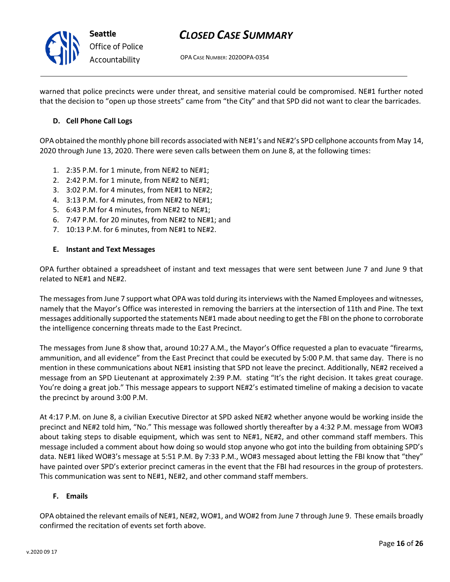OPA CASE NUMBER: 2020OPA-0354

warned that police precincts were under threat, and sensitive material could be compromised. NE#1 further noted that the decision to "open up those streets" came from "the City" and that SPD did not want to clear the barricades.

### **D. Cell Phone Call Logs**

OPA obtained the monthly phone bill records associated with NE#1's and NE#2's SPD cellphone accounts from May 14, 2020 through June 13, 2020. There were seven calls between them on June 8, at the following times:

- 1. 2:35 P.M. for 1 minute, from NE#2 to NE#1;
- 2. 2:42 P.M. for 1 minute, from NE#2 to NE#1;
- 3. 3:02 P.M. for 4 minutes, from NE#1 to NE#2;
- 4. 3:13 P.M. for 4 minutes, from NE#2 to NE#1;
- 5. 6:43 P.M for 4 minutes, from NE#2 to NE#1;
- 6. 7:47 P.M. for 20 minutes, from NE#2 to NE#1; and
- 7. 10:13 P.M. for 6 minutes, from NE#1 to NE#2.

### **E. Instant and Text Messages**

OPA further obtained a spreadsheet of instant and text messages that were sent between June 7 and June 9 that related to NE#1 and NE#2.

The messages from June 7 support what OPA was told during its interviews with the Named Employees and witnesses, namely that the Mayor's Office was interested in removing the barriers at the intersection of 11th and Pine. The text messages additionally supported the statements NE#1 made about needing to get the FBI on the phone to corroborate the intelligence concerning threats made to the East Precinct.

The messages from June 8 show that, around 10:27 A.M., the Mayor's Office requested a plan to evacuate "firearms, ammunition, and all evidence" from the East Precinct that could be executed by 5:00 P.M. that same day. There is no mention in these communications about NE#1 insisting that SPD not leave the precinct. Additionally, NE#2 received a message from an SPD Lieutenant at approximately 2:39 P.M. stating "It's the right decision. It takes great courage. You're doing a great job." This message appears to support NE#2's estimated timeline of making a decision to vacate the precinct by around 3:00 P.M.

At 4:17 P.M. on June 8, a civilian Executive Director at SPD asked NE#2 whether anyone would be working inside the precinct and NE#2 told him, "No." This message was followed shortly thereafter by a 4:32 P.M. message from WO#3 about taking steps to disable equipment, which was sent to NE#1, NE#2, and other command staff members. This message included a comment about how doing so would stop anyone who got into the building from obtaining SPD's data. NE#1 liked WO#3's message at 5:51 P.M. By 7:33 P.M., WO#3 messaged about letting the FBI know that "they" have painted over SPD's exterior precinct cameras in the event that the FBI had resources in the group of protesters. This communication was sent to NE#1, NE#2, and other command staff members.

### **F. Emails**

OPA obtained the relevant emails of NE#1, NE#2, WO#1, and WO#2 from June 7 through June 9. These emails broadly confirmed the recitation of events set forth above.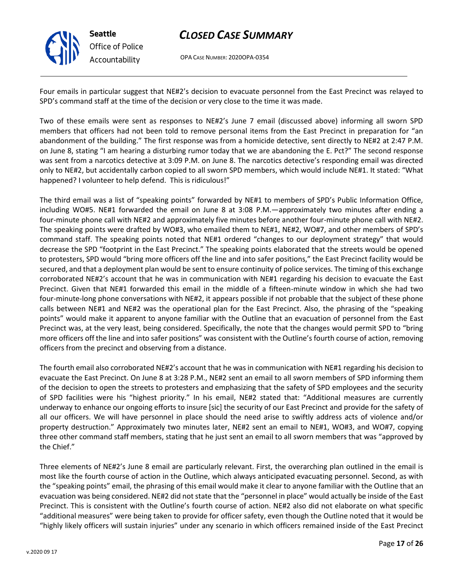v.2020 09 17

### *CLOSED CASE SUMMARY*

OPA CASE NUMBER: 2020OPA-0354

**Seattle**

*Office of Police Accountability*

Four emails in particular suggest that NE#2's decision to evacuate personnel from the East Precinct was relayed to SPD's command staff at the time of the decision or very close to the time it was made.

Two of these emails were sent as responses to NE#2's June 7 email (discussed above) informing all sworn SPD members that officers had not been told to remove personal items from the East Precinct in preparation for "an abandonment of the building." The first response was from a homicide detective, sent directly to NE#2 at 2:47 P.M. on June 8, stating "I am hearing a disturbing rumor today that we are abandoning the E. Pct?" The second response was sent from a narcotics detective at 3:09 P.M. on June 8. The narcotics detective's responding email was directed only to NE#2, but accidentally carbon copied to all sworn SPD members, which would include NE#1. It stated: "What happened? I volunteer to help defend. This is ridiculous!"

The third email was a list of "speaking points" forwarded by NE#1 to members of SPD's Public Information Office, including WO#5. NE#1 forwarded the email on June 8 at 3:08 P.M.—approximately two minutes after ending a four-minute phone call with NE#2 and approximately five minutes before another four-minute phone call with NE#2. The speaking points were drafted by WO#3, who emailed them to NE#1, NE#2, WO#7, and other members of SPD's command staff. The speaking points noted that NE#1 ordered "changes to our deployment strategy" that would decrease the SPD "footprint in the East Precinct." The speaking points elaborated that the streets would be opened to protesters, SPD would "bring more officers off the line and into safer positions," the East Precinct facility would be secured, and that a deployment plan would be sent to ensure continuity of police services. The timing of this exchange corroborated NE#2's account that he was in communication with NE#1 regarding his decision to evacuate the East Precinct. Given that NE#1 forwarded this email in the middle of a fifteen-minute window in which she had two four-minute-long phone conversations with NE#2, it appears possible if not probable that the subject of these phone calls between NE#1 and NE#2 was the operational plan for the East Precinct. Also, the phrasing of the "speaking points" would make it apparent to anyone familiar with the Outline that an evacuation of personnel from the East Precinct was, at the very least, being considered. Specifically, the note that the changes would permit SPD to "bring more officers off the line and into safer positions" was consistent with the Outline's fourth course of action, removing officers from the precinct and observing from a distance.

The fourth email also corroborated NE#2's account that he was in communication with NE#1 regarding his decision to evacuate the East Precinct. On June 8 at 3:28 P.M., NE#2 sent an email to all sworn members of SPD informing them of the decision to open the streets to protesters and emphasizing that the safety of SPD employees and the security of SPD facilities were his "highest priority." In his email, NE#2 stated that: "Additional measures are currently underway to enhance our ongoing efforts to insure [sic] the security of our East Precinct and provide for the safety of all our officers. We will have personnel in place should the need arise to swiftly address acts of violence and/or property destruction." Approximately two minutes later, NE#2 sent an email to NE#1, WO#3, and WO#7, copying three other command staff members, stating that he just sent an email to all sworn members that was "approved by the Chief."

Three elements of NE#2's June 8 email are particularly relevant. First, the overarching plan outlined in the email is most like the fourth course of action in the Outline, which always anticipated evacuating personnel. Second, as with the "speaking points" email, the phrasing of this email would make it clear to anyone familiar with the Outline that an evacuation was being considered. NE#2 did not state that the "personnel in place" would actually be inside of the East Precinct. This is consistent with the Outline's fourth course of action. NE#2 also did not elaborate on what specific "additional measures" were being taken to provide for officer safety, even though the Outline noted that it would be "highly likely officers will sustain injuries" under any scenario in which officers remained inside of the East Precinct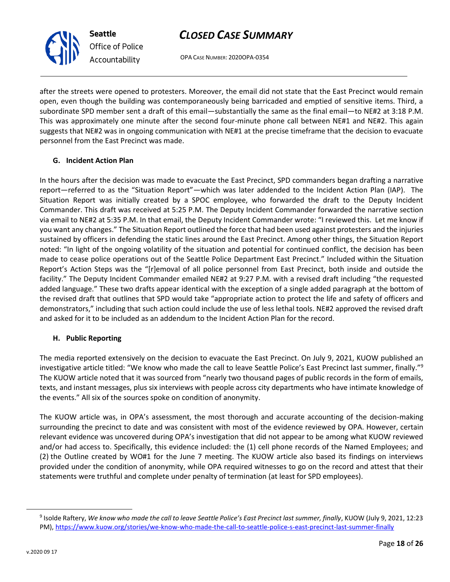OPA CASE NUMBER: 2020OPA-0354

after the streets were opened to protesters. Moreover, the email did not state that the East Precinct would remain open, even though the building was contemporaneously being barricaded and emptied of sensitive items. Third, a subordinate SPD member sent a draft of this email—substantially the same as the final email—to NE#2 at 3:18 P.M. This was approximately one minute after the second four-minute phone call between NE#1 and NE#2. This again suggests that NE#2 was in ongoing communication with NE#1 at the precise timeframe that the decision to evacuate personnel from the East Precinct was made.

### **G. Incident Action Plan**

**Seattle**

*Office of Police Accountability*

In the hours after the decision was made to evacuate the East Precinct, SPD commanders began drafting a narrative report—referred to as the "Situation Report"—which was later addended to the Incident Action Plan (IAP). The Situation Report was initially created by a SPOC employee, who forwarded the draft to the Deputy Incident Commander. This draft was received at 5:25 P.M. The Deputy Incident Commander forwarded the narrative section via email to NE#2 at 5:35 P.M. In that email, the Deputy Incident Commander wrote: "I reviewed this. Let me know if you want any changes." The Situation Report outlined the force that had been used against protesters and the injuries sustained by officers in defending the static lines around the East Precinct. Among other things, the Situation Report noted: "In light of the ongoing volatility of the situation and potential for continued conflict, the decision has been made to cease police operations out of the Seattle Police Department East Precinct." Included within the Situation Report's Action Steps was the "[r]emoval of all police personnel from East Precinct, both inside and outside the facility." The Deputy Incident Commander emailed NE#2 at 9:27 P.M. with a revised draft including "the requested added language." These two drafts appear identical with the exception of a single added paragraph at the bottom of the revised draft that outlines that SPD would take "appropriate action to protect the life and safety of officers and demonstrators," including that such action could include the use of less lethal tools. NE#2 approved the revised draft and asked for it to be included as an addendum to the Incident Action Plan for the record.

### **H. Public Reporting**

The media reported extensively on the decision to evacuate the East Precinct. On July 9, 2021, KUOW published an investigative article titled: "We know who made the call to leave Seattle Police's East Precinct last summer, finally."<sup>9</sup> The KUOW article noted that it was sourced from "nearly two thousand pages of public records in the form of emails, texts, and instant messages, plus six interviews with people across city departments who have intimate knowledge of the events." All six of the sources spoke on condition of anonymity.

The KUOW article was, in OPA's assessment, the most thorough and accurate accounting of the decision-making surrounding the precinct to date and was consistent with most of the evidence reviewed by OPA. However, certain relevant evidence was uncovered during OPA's investigation that did not appear to be among what KUOW reviewed and/or had access to. Specifically, this evidence included: the (1) cell phone records of the Named Employees; and (2) the Outline created by WO#1 for the June 7 meeting. The KUOW article also based its findings on interviews provided under the condition of anonymity, while OPA required witnesses to go on the record and attest that their statements were truthful and complete under penalty of termination (at least for SPD employees).



<sup>9</sup> Isolde Raftery, *We know who made the call to leave Seattle Police's East Precinct last summer, finally*, KUOW (July 9, 2021, 12:23 PM)[, https://www.kuow.org/stories/we-know-who-made-the-call-to-seattle-police-s-east-precinct-last-summer-finally](https://www.kuow.org/stories/we-know-who-made-the-call-to-seattle-police-s-east-precinct-last-summer-finally)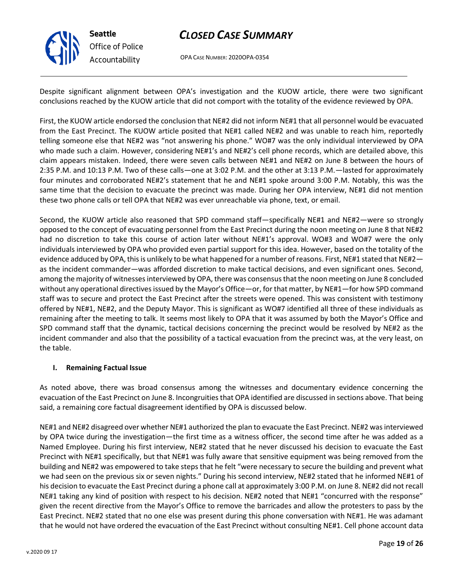

## *CLOSED CASE SUMMARY*

OPA CASE NUMBER: 2020OPA-0354

Despite significant alignment between OPA's investigation and the KUOW article, there were two significant conclusions reached by the KUOW article that did not comport with the totality of the evidence reviewed by OPA.

First, the KUOW article endorsed the conclusion that NE#2 did not inform NE#1 that all personnel would be evacuated from the East Precinct. The KUOW article posited that NE#1 called NE#2 and was unable to reach him, reportedly telling someone else that NE#2 was "not answering his phone." WO#7 was the only individual interviewed by OPA who made such a claim. However, considering NE#1's and NE#2's cell phone records, which are detailed above, this claim appears mistaken. Indeed, there were seven calls between NE#1 and NE#2 on June 8 between the hours of 2:35 P.M. and 10:13 P.M. Two of these calls—one at 3:02 P.M. and the other at 3:13 P.M.—lasted for approximately four minutes and corroborated NE#2's statement that he and NE#1 spoke around 3:00 P.M. Notably, this was the same time that the decision to evacuate the precinct was made. During her OPA interview, NE#1 did not mention these two phone calls or tell OPA that NE#2 was ever unreachable via phone, text, or email.

Second, the KUOW article also reasoned that SPD command staff—specifically NE#1 and NE#2—were so strongly opposed to the concept of evacuating personnel from the East Precinct during the noon meeting on June 8 that NE#2 had no discretion to take this course of action later without NE#1's approval. WO#3 and WO#7 were the only individuals interviewed by OPA who provided even partial support for this idea. However, based on the totality of the evidence adduced by OPA, this is unlikely to be what happened for a number of reasons. First, NE#1 stated that NE#2 as the incident commander—was afforded discretion to make tactical decisions, and even significant ones. Second, among the majority of witnesses interviewed by OPA, there was consensus that the noon meeting on June 8 concluded without any operational directives issued by the Mayor's Office—or, for that matter, by NE#1—for how SPD command staff was to secure and protect the East Precinct after the streets were opened. This was consistent with testimony offered by NE#1, NE#2, and the Deputy Mayor. This is significant as WO#7 identified all three of these individuals as remaining after the meeting to talk. It seems most likely to OPA that it was assumed by both the Mayor's Office and SPD command staff that the dynamic, tactical decisions concerning the precinct would be resolved by NE#2 as the incident commander and also that the possibility of a tactical evacuation from the precinct was, at the very least, on the table.

### **I. Remaining Factual Issue**

As noted above, there was broad consensus among the witnesses and documentary evidence concerning the evacuation of the East Precinct on June 8. Incongruities that OPA identified are discussed in sections above. That being said, a remaining core factual disagreement identified by OPA is discussed below.

NE#1 and NE#2 disagreed over whether NE#1 authorized the plan to evacuate the East Precinct. NE#2 was interviewed by OPA twice during the investigation—the first time as a witness officer, the second time after he was added as a Named Employee. During his first interview, NE#2 stated that he never discussed his decision to evacuate the East Precinct with NE#1 specifically, but that NE#1 was fully aware that sensitive equipment was being removed from the building and NE#2 was empowered to take steps that he felt "were necessary to secure the building and prevent what we had seen on the previous six or seven nights." During his second interview, NE#2 stated that he informed NE#1 of his decision to evacuate the East Precinct during a phone call at approximately 3:00 P.M. on June 8. NE#2 did not recall NE#1 taking any kind of position with respect to his decision. NE#2 noted that NE#1 "concurred with the response" given the recent directive from the Mayor's Office to remove the barricades and allow the protesters to pass by the East Precinct. NE#2 stated that no one else was present during this phone conversation with NE#1. He was adamant that he would not have ordered the evacuation of the East Precinct without consulting NE#1. Cell phone account data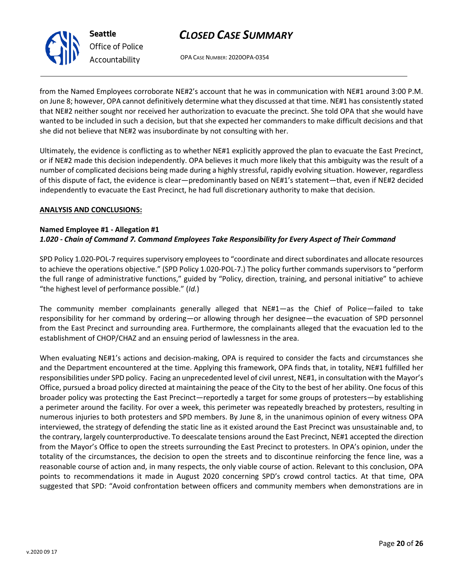OPA CASE NUMBER: 2020OPA-0354

from the Named Employees corroborate NE#2's account that he was in communication with NE#1 around 3:00 P.M. on June 8; however, OPA cannot definitively determine what they discussed at that time. NE#1 has consistently stated that NE#2 neither sought nor received her authorization to evacuate the precinct. She told OPA that she would have wanted to be included in such a decision, but that she expected her commanders to make difficult decisions and that she did not believe that NE#2 was insubordinate by not consulting with her.

Ultimately, the evidence is conflicting as to whether NE#1 explicitly approved the plan to evacuate the East Precinct, or if NE#2 made this decision independently. OPA believes it much more likely that this ambiguity was the result of a number of complicated decisions being made during a highly stressful, rapidly evolving situation. However, regardless of this dispute of fact, the evidence is clear—predominantly based on NE#1's statement—that, even if NE#2 decided independently to evacuate the East Precinct, he had full discretionary authority to make that decision.

### **ANALYSIS AND CONCLUSIONS:**

#### **Named Employee #1 - Allegation #1** *1.020 - Chain of Command 7. Command Employees Take Responsibility for Every Aspect of Their Command*

SPD Policy 1.020-POL-7 requires supervisory employees to "coordinate and direct subordinates and allocate resources to achieve the operations objective." (SPD Policy 1.020-POL-7.) The policy further commands supervisors to "perform the full range of administrative functions," guided by "Policy, direction, training, and personal initiative" to achieve "the highest level of performance possible." (*Id.*)

The community member complainants generally alleged that NE#1—as the Chief of Police—failed to take responsibility for her command by ordering—or allowing through her designee—the evacuation of SPD personnel from the East Precinct and surrounding area. Furthermore, the complainants alleged that the evacuation led to the establishment of CHOP/CHAZ and an ensuing period of lawlessness in the area.

When evaluating NE#1's actions and decision-making, OPA is required to consider the facts and circumstances she and the Department encountered at the time. Applying this framework, OPA finds that, in totality, NE#1 fulfilled her responsibilities under SPD policy. Facing an unprecedented level of civil unrest, NE#1, in consultation with the Mayor's Office, pursued a broad policy directed at maintaining the peace of the City to the best of her ability. One focus of this broader policy was protecting the East Precinct—reportedly a target for some groups of protesters—by establishing a perimeter around the facility. For over a week, this perimeter was repeatedly breached by protesters, resulting in numerous injuries to both protesters and SPD members. By June 8, in the unanimous opinion of every witness OPA interviewed, the strategy of defending the static line as it existed around the East Precinct was unsustainable and, to the contrary, largely counterproductive. To deescalate tensions around the East Precinct, NE#1 accepted the direction from the Mayor's Office to open the streets surrounding the East Precinct to protesters. In OPA's opinion, under the totality of the circumstances, the decision to open the streets and to discontinue reinforcing the fence line, was a reasonable course of action and, in many respects, the only viable course of action. Relevant to this conclusion, OPA points to recommendations it made in August 2020 concerning SPD's crowd control tactics. At that time, OPA suggested that SPD: "Avoid confrontation between officers and community members when demonstrations are in



**Seattle**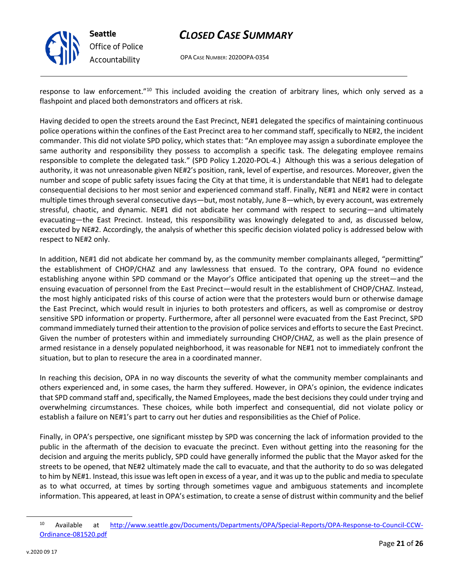

## *CLOSED CASE SUMMARY*

OPA CASE NUMBER: 2020OPA-0354

response to law enforcement."<sup>10</sup> This included avoiding the creation of arbitrary lines, which only served as a flashpoint and placed both demonstrators and officers at risk.

Having decided to open the streets around the East Precinct, NE#1 delegated the specifics of maintaining continuous police operations within the confines of the East Precinct area to her command staff, specifically to NE#2, the incident commander. This did not violate SPD policy, which states that: "An employee may assign a subordinate employee the same authority and responsibility they possess to accomplish a specific task. The delegating employee remains responsible to complete the delegated task." (SPD Policy 1.2020-POL-4.) Although this was a serious delegation of authority, it was not unreasonable given NE#2's position, rank, level of expertise, and resources. Moreover, given the number and scope of public safety issues facing the City at that time, it is understandable that NE#1 had to delegate consequential decisions to her most senior and experienced command staff. Finally, NE#1 and NE#2 were in contact multiple times through several consecutive days—but, most notably, June 8—which, by every account, was extremely stressful, chaotic, and dynamic. NE#1 did not abdicate her command with respect to securing—and ultimately evacuating—the East Precinct. Instead, this responsibility was knowingly delegated to and, as discussed below, executed by NE#2. Accordingly, the analysis of whether this specific decision violated policy is addressed below with respect to NE#2 only.

In addition, NE#1 did not abdicate her command by, as the community member complainants alleged, "permitting" the establishment of CHOP/CHAZ and any lawlessness that ensued. To the contrary, OPA found no evidence establishing anyone within SPD command or the Mayor's Office anticipated that opening up the street—and the ensuing evacuation of personnel from the East Precinct—would result in the establishment of CHOP/CHAZ. Instead, the most highly anticipated risks of this course of action were that the protesters would burn or otherwise damage the East Precinct, which would result in injuries to both protesters and officers, as well as compromise or destroy sensitive SPD information or property. Furthermore, after all personnel were evacuated from the East Precinct, SPD command immediately turned their attention to the provision of police services and efforts to secure the East Precinct. Given the number of protesters within and immediately surrounding CHOP/CHAZ, as well as the plain presence of armed resistance in a densely populated neighborhood, it was reasonable for NE#1 not to immediately confront the situation, but to plan to resecure the area in a coordinated manner.

In reaching this decision, OPA in no way discounts the severity of what the community member complainants and others experienced and, in some cases, the harm they suffered. However, in OPA's opinion, the evidence indicates that SPD command staff and, specifically, the Named Employees, made the best decisions they could under trying and overwhelming circumstances. These choices, while both imperfect and consequential, did not violate policy or establish a failure on NE#1's part to carry out her duties and responsibilities as the Chief of Police.

Finally, in OPA's perspective, one significant misstep by SPD was concerning the lack of information provided to the public in the aftermath of the decision to evacuate the precinct. Even without getting into the reasoning for the decision and arguing the merits publicly, SPD could have generally informed the public that the Mayor asked for the streets to be opened, that NE#2 ultimately made the call to evacuate, and that the authority to do so was delegated to him by NE#1. Instead, this issue was left open in excess of a year, and it was up to the public and media to speculate as to what occurred, at times by sorting through sometimes vague and ambiguous statements and incomplete information. This appeared, at least in OPA's estimation, to create a sense of distrust within community and the belief

<sup>10</sup> Available at [http://www.seattle.gov/Documents/Departments/OPA/Special-Reports/OPA-Response-to-Council-CCW-](http://www.seattle.gov/Documents/Departments/OPA/Special-Reports/OPA-Response-to-Council-CCW-Ordinance-081520.pdf)[Ordinance-081520.pdf](http://www.seattle.gov/Documents/Departments/OPA/Special-Reports/OPA-Response-to-Council-CCW-Ordinance-081520.pdf)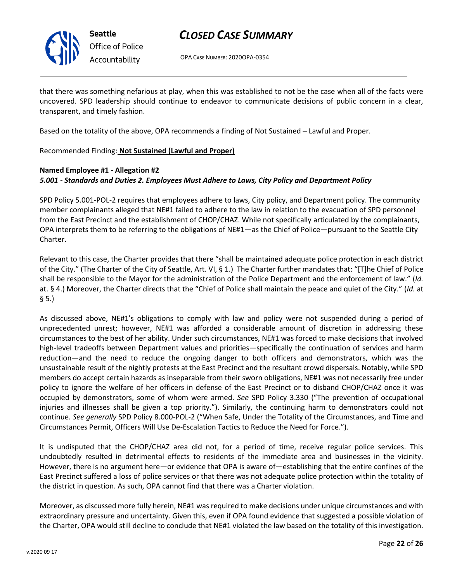

### *CLOSED CASE SUMMARY*

OPA CASE NUMBER: 2020OPA-0354

that there was something nefarious at play, when this was established to not be the case when all of the facts were uncovered. SPD leadership should continue to endeavor to communicate decisions of public concern in a clear, transparent, and timely fashion.

Based on the totality of the above, OPA recommends a finding of Not Sustained – Lawful and Proper.

Recommended Finding: **Not Sustained (Lawful and Proper)**

### **Named Employee #1 - Allegation #2** *5.001 - Standards and Duties 2. Employees Must Adhere to Laws, City Policy and Department Policy*

SPD Policy 5.001-POL-2 requires that employees adhere to laws, City policy, and Department policy. The community member complainants alleged that NE#1 failed to adhere to the law in relation to the evacuation of SPD personnel from the East Precinct and the establishment of CHOP/CHAZ. While not specifically articulated by the complainants, OPA interprets them to be referring to the obligations of NE#1—as the Chief of Police—pursuant to the Seattle City Charter.

Relevant to this case, the Charter provides that there "shall be maintained adequate police protection in each district of the City." (The Charter of the City of Seattle, Art. VI, § 1.) The Charter further mandates that: "[T]he Chief of Police shall be responsible to the Mayor for the administration of the Police Department and the enforcement of law." (*Id.* at. § 4.) Moreover, the Charter directs that the "Chief of Police shall maintain the peace and quiet of the City." (*Id.* at § 5.)

As discussed above, NE#1's obligations to comply with law and policy were not suspended during a period of unprecedented unrest; however, NE#1 was afforded a considerable amount of discretion in addressing these circumstances to the best of her ability. Under such circumstances, NE#1 was forced to make decisions that involved high-level tradeoffs between Department values and priorities—specifically the continuation of services and harm reduction—and the need to reduce the ongoing danger to both officers and demonstrators, which was the unsustainable result of the nightly protests at the East Precinct and the resultant crowd dispersals. Notably, while SPD members do accept certain hazards as inseparable from their sworn obligations, NE#1 was not necessarily free under policy to ignore the welfare of her officers in defense of the East Precinct or to disband CHOP/CHAZ once it was occupied by demonstrators, some of whom were armed. *See* SPD Policy 3.330 ("The prevention of occupational injuries and illnesses shall be given a top priority."). Similarly, the continuing harm to demonstrators could not continue. *See generally* SPD Policy 8.000-POL-2 ("When Safe, Under the Totality of the Circumstances, and Time and Circumstances Permit, Officers Will Use De-Escalation Tactics to Reduce the Need for Force.").

It is undisputed that the CHOP/CHAZ area did not, for a period of time, receive regular police services. This undoubtedly resulted in detrimental effects to residents of the immediate area and businesses in the vicinity. However, there is no argument here—or evidence that OPA is aware of—establishing that the entire confines of the East Precinct suffered a loss of police services or that there was not adequate police protection within the totality of the district in question. As such, OPA cannot find that there was a Charter violation.

Moreover, as discussed more fully herein, NE#1 was required to make decisions under unique circumstances and with extraordinary pressure and uncertainty. Given this, even if OPA found evidence that suggested a possible violation of the Charter, OPA would still decline to conclude that NE#1 violated the law based on the totality of this investigation.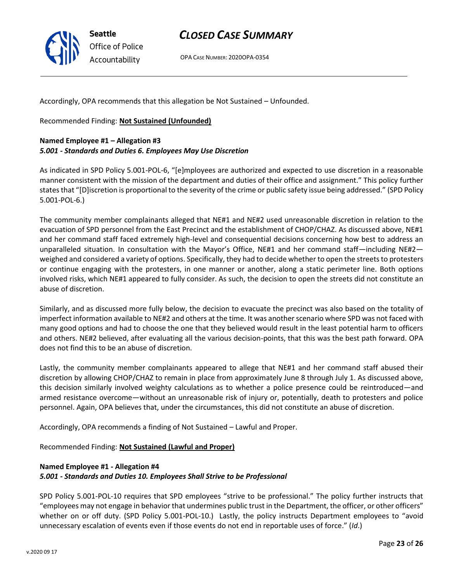

OPA CASE NUMBER: 2020OPA-0354

Accordingly, OPA recommends that this allegation be Not Sustained – Unfounded.

Recommended Finding: **Not Sustained (Unfounded)**

### **Named Employee #1 – Allegation #3** *5.001 - Standards and Duties 6. Employees May Use Discretion*

As indicated in SPD Policy 5.001-POL-6, "[e]mployees are authorized and expected to use discretion in a reasonable manner consistent with the mission of the department and duties of their office and assignment." This policy further states that "[D]iscretion is proportional to the severity of the crime or public safety issue being addressed." (SPD Policy 5.001-POL-6.)

The community member complainants alleged that NE#1 and NE#2 used unreasonable discretion in relation to the evacuation of SPD personnel from the East Precinct and the establishment of CHOP/CHAZ. As discussed above, NE#1 and her command staff faced extremely high-level and consequential decisions concerning how best to address an unparalleled situation. In consultation with the Mayor's Office, NE#1 and her command staff—including NE#2 weighed and considered a variety of options. Specifically, they had to decide whether to open the streets to protesters or continue engaging with the protesters, in one manner or another, along a static perimeter line. Both options involved risks, which NE#1 appeared to fully consider. As such, the decision to open the streets did not constitute an abuse of discretion.

Similarly, and as discussed more fully below, the decision to evacuate the precinct was also based on the totality of imperfect information available to NE#2 and others at the time. It was another scenario where SPD was not faced with many good options and had to choose the one that they believed would result in the least potential harm to officers and others. NE#2 believed, after evaluating all the various decision-points, that this was the best path forward. OPA does not find this to be an abuse of discretion.

Lastly, the community member complainants appeared to allege that NE#1 and her command staff abused their discretion by allowing CHOP/CHAZ to remain in place from approximately June 8 through July 1. As discussed above, this decision similarly involved weighty calculations as to whether a police presence could be reintroduced—and armed resistance overcome—without an unreasonable risk of injury or, potentially, death to protesters and police personnel. Again, OPA believes that, under the circumstances, this did not constitute an abuse of discretion.

Accordingly, OPA recommends a finding of Not Sustained – Lawful and Proper.

Recommended Finding: **Not Sustained (Lawful and Proper)**

### **Named Employee #1 - Allegation #4**

#### *5.001 - Standards and Duties 10. Employees Shall Strive to be Professional*

SPD Policy 5.001-POL-10 requires that SPD employees "strive to be professional." The policy further instructs that "employees may not engage in behavior that undermines public trust in the Department, the officer, or other officers" whether on or off duty. (SPD Policy 5.001-POL-10.) Lastly, the policy instructs Department employees to "avoid unnecessary escalation of events even if those events do not end in reportable uses of force." (*Id*.)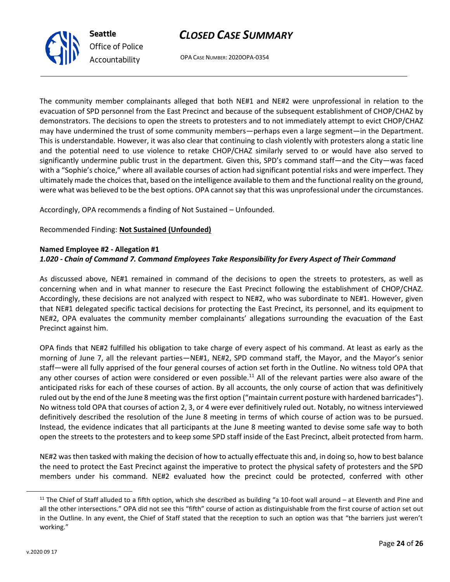

OPA CASE NUMBER: 2020OPA-0354

The community member complainants alleged that both NE#1 and NE#2 were unprofessional in relation to the evacuation of SPD personnel from the East Precinct and because of the subsequent establishment of CHOP/CHAZ by demonstrators. The decisions to open the streets to protesters and to not immediately attempt to evict CHOP/CHAZ may have undermined the trust of some community members—perhaps even a large segment—in the Department. This is understandable. However, it was also clear that continuing to clash violently with protesters along a static line and the potential need to use violence to retake CHOP/CHAZ similarly served to or would have also served to significantly undermine public trust in the department. Given this, SPD's command staff—and the City—was faced with a "Sophie's choice," where all available courses of action had significant potential risks and were imperfect. They ultimately made the choices that, based on the intelligence available to them and the functional reality on the ground, were what was believed to be the best options. OPA cannot say that this was unprofessional under the circumstances.

Accordingly, OPA recommends a finding of Not Sustained – Unfounded.

Recommended Finding: **Not Sustained (Unfounded)**

### **Named Employee #2 - Allegation #1**

### *1.020 - Chain of Command 7. Command Employees Take Responsibility for Every Aspect of Their Command*

As discussed above, NE#1 remained in command of the decisions to open the streets to protesters, as well as concerning when and in what manner to resecure the East Precinct following the establishment of CHOP/CHAZ. Accordingly, these decisions are not analyzed with respect to NE#2, who was subordinate to NE#1. However, given that NE#1 delegated specific tactical decisions for protecting the East Precinct, its personnel, and its equipment to NE#2, OPA evaluates the community member complainants' allegations surrounding the evacuation of the East Precinct against him.

OPA finds that NE#2 fulfilled his obligation to take charge of every aspect of his command. At least as early as the morning of June 7, all the relevant parties—NE#1, NE#2, SPD command staff, the Mayor, and the Mayor's senior staff—were all fully apprised of the four general courses of action set forth in the Outline. No witness told OPA that any other courses of action were considered or even possible.<sup>11</sup> All of the relevant parties were also aware of the anticipated risks for each of these courses of action. By all accounts, the only course of action that was definitively ruled out by the end of the June 8 meeting was the first option ("maintain current posture with hardened barricades"). No witness told OPA that courses of action 2, 3, or 4 were ever definitively ruled out. Notably, no witness interviewed definitively described the resolution of the June 8 meeting in terms of which course of action was to be pursued. Instead, the evidence indicates that all participants at the June 8 meeting wanted to devise some safe way to both open the streets to the protesters and to keep some SPD staff inside of the East Precinct, albeit protected from harm.

NE#2 was then tasked with making the decision of how to actually effectuate this and, in doing so, how to best balance the need to protect the East Precinct against the imperative to protect the physical safety of protesters and the SPD members under his command. NE#2 evaluated how the precinct could be protected, conferred with other

 $11$  The Chief of Staff alluded to a fifth option, which she described as building "a 10-foot wall around – at Eleventh and Pine and all the other intersections." OPA did not see this "fifth" course of action as distinguishable from the first course of action set out in the Outline. In any event, the Chief of Staff stated that the reception to such an option was that "the barriers just weren't working."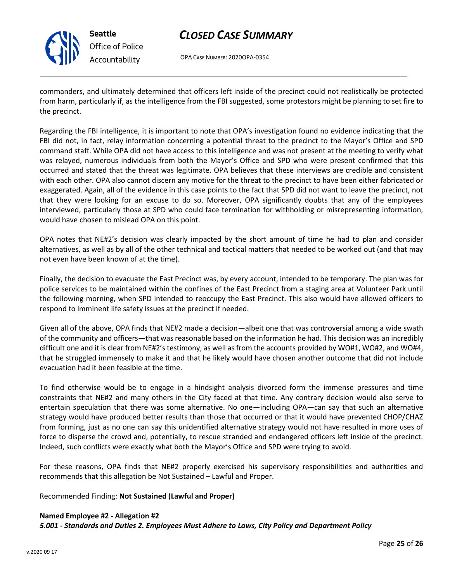

## *CLOSED CASE SUMMARY*

OPA CASE NUMBER: 2020OPA-0354

commanders, and ultimately determined that officers left inside of the precinct could not realistically be protected from harm, particularly if, as the intelligence from the FBI suggested, some protestors might be planning to set fire to the precinct.

Regarding the FBI intelligence, it is important to note that OPA's investigation found no evidence indicating that the FBI did not, in fact, relay information concerning a potential threat to the precinct to the Mayor's Office and SPD command staff. While OPA did not have access to this intelligence and was not present at the meeting to verify what was relayed, numerous individuals from both the Mayor's Office and SPD who were present confirmed that this occurred and stated that the threat was legitimate. OPA believes that these interviews are credible and consistent with each other. OPA also cannot discern any motive for the threat to the precinct to have been either fabricated or exaggerated. Again, all of the evidence in this case points to the fact that SPD did not want to leave the precinct, not that they were looking for an excuse to do so. Moreover, OPA significantly doubts that any of the employees interviewed, particularly those at SPD who could face termination for withholding or misrepresenting information, would have chosen to mislead OPA on this point.

OPA notes that NE#2's decision was clearly impacted by the short amount of time he had to plan and consider alternatives, as well as by all of the other technical and tactical matters that needed to be worked out (and that may not even have been known of at the time).

Finally, the decision to evacuate the East Precinct was, by every account, intended to be temporary. The plan was for police services to be maintained within the confines of the East Precinct from a staging area at Volunteer Park until the following morning, when SPD intended to reoccupy the East Precinct. This also would have allowed officers to respond to imminent life safety issues at the precinct if needed.

Given all of the above, OPA finds that NE#2 made a decision—albeit one that was controversial among a wide swath of the community and officers—that was reasonable based on the information he had. This decision was an incredibly difficult one and it is clear from NE#2's testimony, as well as from the accounts provided by WO#1, WO#2, and WO#4, that he struggled immensely to make it and that he likely would have chosen another outcome that did not include evacuation had it been feasible at the time.

To find otherwise would be to engage in a hindsight analysis divorced form the immense pressures and time constraints that NE#2 and many others in the City faced at that time. Any contrary decision would also serve to entertain speculation that there was some alternative. No one—including OPA—can say that such an alternative strategy would have produced better results than those that occurred or that it would have prevented CHOP/CHAZ from forming, just as no one can say this unidentified alternative strategy would not have resulted in more uses of force to disperse the crowd and, potentially, to rescue stranded and endangered officers left inside of the precinct. Indeed, such conflicts were exactly what both the Mayor's Office and SPD were trying to avoid.

For these reasons, OPA finds that NE#2 properly exercised his supervisory responsibilities and authorities and recommends that this allegation be Not Sustained – Lawful and Proper.

Recommended Finding: **Not Sustained (Lawful and Proper)**

#### **Named Employee #2 - Allegation #2**

*5.001 - Standards and Duties 2. Employees Must Adhere to Laws, City Policy and Department Policy*